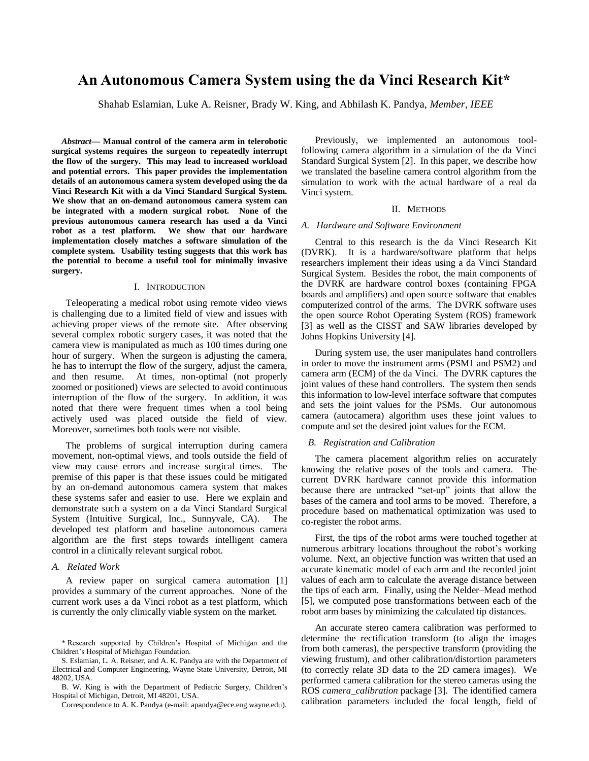# **An Autonomous Camera System using the da Vinci Research Kit\***

Shahab Eslamian, Luke A. Reisner, Brady W. King, and Abhilash K. Pandya, *Member, IEEE*

*Abstract***— Manual control of the camera arm in telerobotic surgical systems requires the surgeon to repeatedly interrupt the flow of the surgery. This may lead to increased workload and potential errors. This paper provides the implementation details of an autonomous camera system developed using the da Vinci Research Kit with a da Vinci Standard Surgical System. We show that an on-demand autonomous camera system can be integrated with a modern surgical robot. None of the previous autonomous camera research has used a da Vinci robot as a test platform. We show that our hardware implementation closely matches a software simulation of the complete system. Usability testing suggests that this work has the potential to become a useful tool for minimally invasive surgery.**

# I. INTRODUCTION

Teleoperating a medical robot using remote video views is challenging due to a limited field of view and issues with achieving proper views of the remote site. After observing several complex robotic surgery cases, it was noted that the camera view is manipulated as much as 100 times during one hour of surgery. When the surgeon is adjusting the camera, he has to interrupt the flow of the surgery, adjust the camera, and then resume. At times, non-optimal (not properly zoomed or positioned) views are selected to avoid continuous interruption of the flow of the surgery. In addition, it was noted that there were frequent times when a tool being actively used was placed outside the field of view. Moreover, sometimes both tools were not visible.

The problems of surgical interruption during camera movement, non-optimal views, and tools outside the field of view may cause errors and increase surgical times. The premise of this paper is that these issues could be mitigated by an on-demand autonomous camera system that makes these systems safer and easier to use. Here we explain and demonstrate such a system on a da Vinci Standard Surgical System (Intuitive Surgical, Inc., Sunnyvale, CA). The developed test platform and baseline autonomous camera algorithm are the first steps towards intelligent camera control in a clinically relevant surgical robot.

### *A. Related Work*

A review paper on surgical camera automation [1] provides a summary of the current approaches. None of the current work uses a da Vinci robot as a test platform, which is currently the only clinically viable system on the market.

S. Eslamian, L. A. Reisner, and A. K. Pandya are with the Department of Electrical and Computer Engineering, Wayne State University, Detroit, MI 48202, USA.

B. W. King is with the Department of Pediatric Surgery, Children's Hospital of Michigan, Detroit, MI 48201, USA.

Correspondence to A. K. Pandya (e-mail: apandya@ece.eng.wayne.edu).

Previously, we implemented an autonomous toolfollowing camera algorithm in a simulation of the da Vinci Standard Surgical System [2]. In this paper, we describe how we translated the baseline camera control algorithm from the simulation to work with the actual hardware of a real da Vinci system.

### II. METHODS

### *A. Hardware and Software Environment*

Central to this research is the da Vinci Research Kit (DVRK). It is a hardware/software platform that helps researchers implement their ideas using a da Vinci Standard Surgical System. Besides the robot, the main components of the DVRK are hardware control boxes (containing FPGA boards and amplifiers) and open source software that enables computerized control of the arms. The DVRK software uses the open source Robot Operating System (ROS) framework [3] as well as the CISST and SAW libraries developed by Johns Hopkins University [4].

During system use, the user manipulates hand controllers in order to move the instrument arms (PSM1 and PSM2) and camera arm (ECM) of the da Vinci. The DVRK captures the joint values of these hand controllers. The system then sends this information to low-level interface software that computes and sets the joint values for the PSMs. Our autonomous camera (autocamera) algorithm uses these joint values to compute and set the desired joint values for the ECM.

# *B. Registration and Calibration*

The camera placement algorithm relies on accurately knowing the relative poses of the tools and camera. The current DVRK hardware cannot provide this information because there are untracked "set-up" joints that allow the bases of the camera and tool arms to be moved. Therefore, a procedure based on mathematical optimization was used to co-register the robot arms.

First, the tips of the robot arms were touched together at numerous arbitrary locations throughout the robot's working volume. Next, an objective function was written that used an accurate kinematic model of each arm and the recorded joint values of each arm to calculate the average distance between the tips of each arm. Finally, using the Nelder–Mead method [5], we computed pose transformations between each of the robot arm bases by minimizing the calculated tip distances.

An accurate stereo camera calibration was performed to determine the rectification transform (to align the images from both cameras), the perspective transform (providing the viewing frustum), and other calibration/distortion parameters (to correctly relate 3D data to the 2D camera images). We performed camera calibration for the stereo cameras using the ROS *camera\_calibration* package [3]. The identified camera calibration parameters included the focal length, field of

<sup>\*</sup> Research supported by Children's Hospital of Michigan and the Children's Hospital of Michigan Foundation.